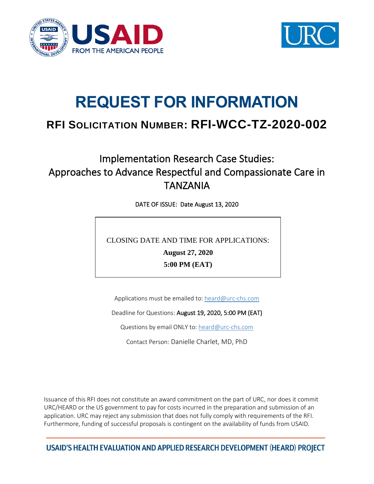



# **REQUEST FOR INFORMATION**

# **RFI SOLICITATION NUMBER: RFI-WCC-TZ-2020-002**

# Implementation Research Case Studies: Approaches to Advance Respectful and Compassionate Care in TANZANIA

DATE OF ISSUE: Date August 13, 2020

CLOSING DATE AND TIME FOR APPLICATIONS:

**August 27, 2020**

**5:00 PM (EAT)**

Applications must be emailed to: [heard@urc-chs.com](mailto:heard@urc-chs.com)

Deadline for Questions: August 19, 2020, 5:00 PM (EAT)

Questions by email ONLY to: [heard@urc-chs.com](mailto:heard@urc-chs.com)

Contact Person: Danielle Charlet, MD, PhD

Issuance of this RFI does not constitute an award commitment on the part of URC, nor does it commit URC/HEARD or the US government to pay for costs incurred in the preparation and submission of an application. URC may reject any submission that does not fully comply with requirements of the RFI. Furthermore, funding of successful proposals is contingent on the availability of funds from USAID.

USAID'S HEALTH EVALUATION AND APPLIED RESEARCH DEVELOPMENT (HEARD) PROJECT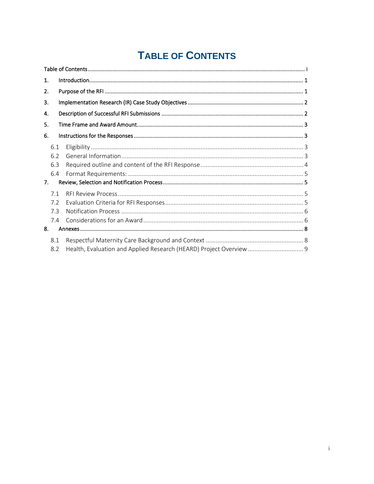# **TABLE OF CONTENTS**

<span id="page-1-0"></span>

| 1.  |                                                                     |  |  |  |  |
|-----|---------------------------------------------------------------------|--|--|--|--|
| 2.  |                                                                     |  |  |  |  |
| 3.  |                                                                     |  |  |  |  |
| 4.  |                                                                     |  |  |  |  |
| 5.  |                                                                     |  |  |  |  |
| 6.  |                                                                     |  |  |  |  |
| 6.1 |                                                                     |  |  |  |  |
| 6.2 |                                                                     |  |  |  |  |
| 6.3 |                                                                     |  |  |  |  |
| 6.4 |                                                                     |  |  |  |  |
| 7.  |                                                                     |  |  |  |  |
| 71  |                                                                     |  |  |  |  |
| 7.2 |                                                                     |  |  |  |  |
| 7.3 |                                                                     |  |  |  |  |
| 7.4 |                                                                     |  |  |  |  |
| 8.  |                                                                     |  |  |  |  |
| 8.1 |                                                                     |  |  |  |  |
| 8.2 | Health, Evaluation and Applied Research (HEARD) Project Overview  9 |  |  |  |  |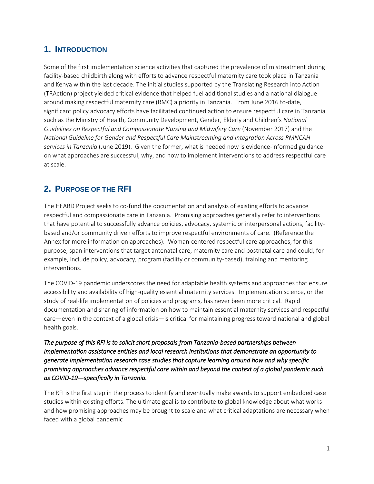#### <span id="page-2-0"></span>**1. INTRODUCTION**

Some of the first implementation science activities that captured the prevalence of mistreatment during facility-based childbirth along with efforts to advance respectful maternity care took place in Tanzania and Kenya within the last decade. The initial studies supported by the Translating Research into Action (TRAction) project yielded critical evidence that helped fuel additional studies and a national dialogue around making respectful maternity care (RMC) a priority in Tanzania. From June 2016 to-date, significant policy advocacy efforts have facilitated continued action to ensure respectful care in Tanzania such as the Ministry of Health, Community Development, Gender, Elderly and Children's *National Guidelines on Respectful and Compassionate Nursing and Midwifery Care* (November 2017) and the *National Guideline for Gender and Respectful Care Mainstreaming and Integration Across RMNCAH services in Tanzania* (June 2019). Given the former, what is needed now is evidence-informed guidance on what approaches are successful, why, and how to implement interventions to address respectful care at scale.

# <span id="page-2-1"></span>**2. PURPOSE OF THE RFI**

The HEARD Project seeks to co-fund the documentation and analysis of existing efforts to advance respectful and compassionate care in Tanzania. Promising approaches generally refer to interventions that have potential to successfully advance policies, advocacy, systemic or interpersonal actions, facilitybased and/or community driven efforts to improve respectful environments of care. (Reference the Annex for more information on approaches). Woman-centered respectful care approaches, for this purpose, span interventions that target antenatal care, maternity care and postnatal care and could, for example, include policy, advocacy, program (facility or community-based), training and mentoring interventions.

The COVID-19 pandemic underscores the need for adaptable health systems and approaches that ensure accessibility and availability of high-quality essential maternity services. Implementation science, or the study of real-life implementation of policies and programs, has never been more critical. Rapid documentation and sharing of information on how to maintain essential maternity services and respectful care—even in the context of a global crisis—is critical for maintaining progress toward national and global health goals.

*The purpose of this RFI is to solicit short proposals from Tanzania-based partnerships between implementation assistance entities and local research institutions that demonstrate an opportunity to generate implementation research case studies that capture learning around how and why specific promising approaches advance respectful care within and beyond the context of a global pandemic such as COVID-19—specifically in Tanzania.*

The RFI is the first step in the process to identify and eventually make awards to support embedded case studies within existing efforts. The ultimate goal is to contribute to global knowledge about what works and how promising approaches may be brought to scale and what critical adaptations are necessary when faced with a global pandemic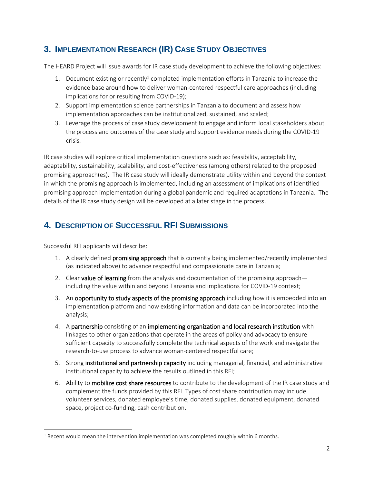# <span id="page-3-0"></span>**3. IMPLEMENTATION RESEARCH (IR) CASE STUDY OBJECTIVES**

The HEARD Project will issue awards for IR case study development to achieve the following objectives:

- 1. Document existing or recently<sup>1</sup> completed implementation efforts in Tanzania to increase the evidence base around how to deliver woman-centered respectful care approaches (including implications for or resulting from COVID-19);
- 2. Support implementation science partnerships in Tanzania to document and assess how implementation approaches can be institutionalized, sustained, and scaled;
- 3. Leverage the process of case study development to engage and inform local stakeholders about the process and outcomes of the case study and support evidence needs during the COVID-19 crisis.

IR case studies will explore critical implementation questions such as: feasibility, acceptability, adaptability, sustainability, scalability, and cost-effectiveness (among others) related to the proposed promising approach(es). The IR case study will ideally demonstrate utility within and beyond the context in which the promising approach is implemented, including an assessment of implications of identified promising approach implementation during a global pandemic and required adaptations in Tanzania. The details of the IR case study design will be developed at a later stage in the process.

# <span id="page-3-1"></span>**4. DESCRIPTION OF SUCCESSFUL RFI SUBMISSIONS**

Successful RFI applicants will describe:

- 1. A clearly defined **promising approach** that is currently being implemented/recently implemented (as indicated above) to advance respectful and compassionate care in Tanzania;
- 2. Clear value of learning from the analysis and documentation of the promising approach including the value within and beyond Tanzania and implications for COVID-19 context;
- 3. An opportunity to study aspects of the promising approach including how it is embedded into an implementation platform and how existing information and data can be incorporated into the analysis;
- 4. A partnership consisting of an implementing organization and local research institution with linkages to other organizations that operate in the areas of policy and advocacy to ensure sufficient capacity to successfully complete the technical aspects of the work and navigate the research-to-use process to advance woman-centered respectful care;
- 5. Strong institutional and partnership capacity including managerial, financial, and administrative institutional capacity to achieve the results outlined in this RFI;
- 6. Ability to mobilize cost share resources to contribute to the development of the IR case study and complement the funds provided by this RFI. Types of cost share contribution may include volunteer services, donated employee's time, donated supplies, donated equipment, donated space, project co-funding, cash contribution.

 $1$  Recent would mean the intervention implementation was completed roughly within 6 months.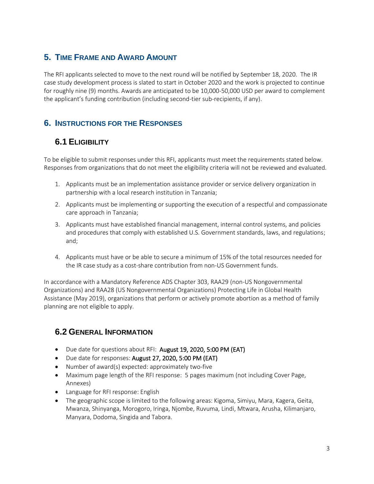# <span id="page-4-0"></span>**5. TIME FRAME AND AWARD AMOUNT**

The RFI applicants selected to move to the next round will be notified by September 18, 2020. The IR case study development process is slated to start in October 2020 and the work is projected to continue for roughly nine (9) months. Awards are anticipated to be 10,000-50,000 USD per award to complement the applicant's funding contribution (including second-tier sub-recipients, if any).

# <span id="page-4-1"></span>**6. INSTRUCTIONS FOR THE RESPONSES**

# <span id="page-4-2"></span>**6.1 ELIGIBILITY**

To be eligible to submit responses under this RFI, applicants must meet the requirements stated below. Responses from organizations that do not meet the eligibility criteria will not be reviewed and evaluated.

- 1. Applicants must be an implementation assistance provider or service delivery organization in partnership with a local research institution in Tanzania;
- 2. Applicants must be implementing or supporting the execution of a respectful and compassionate care approach in Tanzania;
- 3. Applicants must have established financial management, internal control systems, and policies and procedures that comply with established U.S. Government standards, laws, and regulations; and;
- 4. Applicants must have or be able to secure a minimum of 15% of the total resources needed for the IR case study as a cost-share contribution from non-US Government funds.

In accordance with a Mandatory Reference ADS Chapter 303, RAA29 (non-US Nongovernmental Organizations) and RAA28 (US Nongovernmental Organizations) Protecting Life in Global Health Assistance (May 2019), organizations that perform or actively promote abortion as a method of family planning are not eligible to apply.

# <span id="page-4-3"></span>**6.2 GENERAL INFORMATION**

- Due date for questions about RFI: August 19, 2020, 5:00 PM (EAT)
- Due date for responses: August 27, 2020, 5:00 PM (EAT)
- Number of award(s) expected: approximately two-five
- Maximum page length of the RFI response: 5 pages maximum (not including Cover Page, Annexes)
- Language for RFI response: English
- The geographic scope is limited to the following areas: Kigoma, Simiyu, Mara, Kagera, Geita, Mwanza, Shinyanga, Morogoro, Iringa, Njombe, Ruvuma, Lindi, Mtwara, Arusha, Kilimanjaro, Manyara, Dodoma, Singida and Tabora.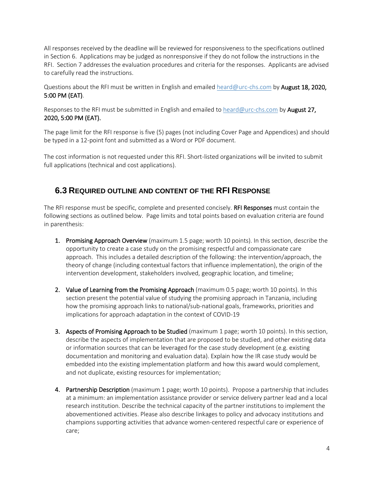All responses received by the deadline will be reviewed for responsiveness to the specifications outlined in Section 6. Applications may be judged as nonresponsive if they do not follow the instructions in the RFI. Section 7 addresses the evaluation procedures and criteria for the responses. Applicants are advised to carefully read the instructions.

Questions about the RFI must be written in English and emailed [heard@urc-chs.com](mailto:heard@urc-chs.com) by August 18, 2020, 5:00 PM (EAT).

Responses to the RFI must be submitted in English and emailed to [heard@urc-chs.com](mailto:heard@urc-chs.com) by August 27, 2020, 5:00 PM (EAT).

The page limit for the RFI response is five (5) pages (not including Cover Page and Appendices) and should be typed in a 12-point font and submitted as a Word or PDF document.

The cost information is not requested under this RFI. Short-listed organizations will be invited to submit full applications (technical and cost applications).

#### <span id="page-5-0"></span>**6.3 REQUIRED OUTLINE AND CONTENT OF THE RFI RESPONSE**

The RFI response must be specific, complete and presented concisely. **RFI Responses** must contain the following sections as outlined below. Page limits and total points based on evaluation criteria are found in parenthesis:

- 1. Promising Approach Overview (maximum 1.5 page; worth 10 points). In this section, describe the opportunity to create a case study on the promising respectful and compassionate care approach. This includes a detailed description of the following: the intervention/approach, the theory of change (including contextual factors that influence implementation), the origin of the intervention development, stakeholders involved, geographic location, and timeline;
- 2. Value of Learning from the Promising Approach (maximum 0.5 page; worth 10 points). In this section present the potential value of studying the promising approach in Tanzania, including how the promising approach links to national/sub-national goals, frameworks, priorities and implications for approach adaptation in the context of COVID-19
- 3. Aspects of Promising Approach to be Studied (maximum 1 page; worth 10 points). In this section, describe the aspects of implementation that are proposed to be studied, and other existing data or information sources that can be leveraged for the case study development (e.g. existing documentation and monitoring and evaluation data). Explain how the IR case study would be embedded into the existing implementation platform and how this award would complement, and not duplicate, existing resources for implementation;
- 4. Partnership Description (maximum 1 page; worth 10 points). Propose a partnership that includes at a minimum: an implementation assistance provider or service delivery partner lead and a local research institution. Describe the technical capacity of the partner institutions to implement the abovementioned activities. Please also describe linkages to policy and advocacy institutions and champions supporting activities that advance women-centered respectful care or experience of care;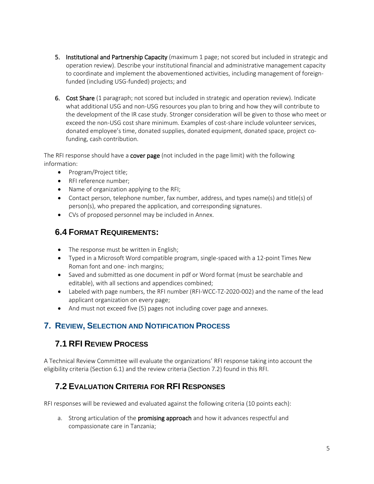- 5. Institutional and Partnership Capacity (maximum 1 page; not scored but included in strategic and operation review). Describe your institutional financial and administrative management capacity to coordinate and implement the abovementioned activities, including management of foreignfunded (including USG-funded) projects; and
- 6. Cost Share (1 paragraph; not scored but included in strategic and operation review). Indicate what additional USG and non-USG resources you plan to bring and how they will contribute to the development of the IR case study. Stronger consideration will be given to those who meet or exceed the non-USG cost share minimum. Examples of cost-share include volunteer services, donated employee's time, donated supplies, donated equipment, donated space, project cofunding, cash contribution.

The RFI response should have a **cover page** (not included in the page limit) with the following information:

- Program/Project title;
- RFI reference number;
- Name of organization applying to the RFI;
- Contact person, telephone number, fax number, address, and types name(s) and title(s) of person(s), who prepared the application, and corresponding signatures.
- CVs of proposed personnel may be included in Annex.

# <span id="page-6-0"></span>**6.4 FORMAT REQUIREMENTS:**

- The response must be written in English;
- Typed in a Microsoft Word compatible program, single-spaced with a 12-point Times New Roman font and one- inch margins;
- Saved and submitted as one document in pdf or Word format (must be searchable and editable), with all sections and appendices combined;
- Labeled with page numbers, the RFI number (RFI-WCC-TZ-2020-002) and the name of the lead applicant organization on every page;
- And must not exceed five (5) pages not including cover page and annexes.

# <span id="page-6-1"></span>**7. REVIEW, SELECTION AND NOTIFICATION PROCESS**

# <span id="page-6-2"></span>**7.1 RFI REVIEW PROCESS**

A Technical Review Committee will evaluate the organizations' RFI response taking into account the eligibility criteria (Section 6.1) and the review criteria (Section 7.2) found in this RFI.

# <span id="page-6-3"></span>**7.2 EVALUATION CRITERIA FOR RFI RESPONSES**

RFI responses will be reviewed and evaluated against the following criteria (10 points each):

a. Strong articulation of the **promising approach** and how it advances respectful and compassionate care in Tanzania;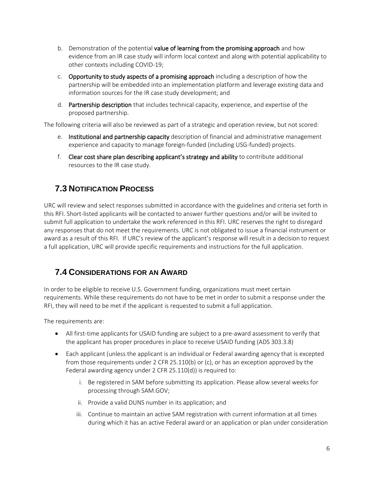- b. Demonstration of the potential value of learning from the promising approach and how evidence from an IR case study will inform local context and along with potential applicability to other contexts including COVID-19;
- c. Opportunity to study aspects of a promising approach including a description of how the partnership will be embedded into an implementation platform and leverage existing data and information sources for the IR case study development; and
- d. Partnership description that includes technical capacity, experience, and expertise of the proposed partnership.

The following criteria will also be reviewed as part of a strategic and operation review, but not scored:

- e. Institutional and partnership capacity description of financial and administrative management experience and capacity to manage foreign-funded (including USG-funded) projects.
- f. Clear cost share plan describing applicant's strategy and ability to contribute additional resources to the IR case study.

# <span id="page-7-0"></span>**7.3 NOTIFICATION PROCESS**

URC will review and select responses submitted in accordance with the guidelines and criteria set forth in this RFI. Short-listed applicants will be contacted to answer further questions and/or will be invited to submit full application to undertake the work referenced in this RFI. URC reserves the right to disregard any responses that do not meet the requirements. URC is not obligated to issue a financial instrument or award as a result of this RFI. If URC's review of the applicant's response will result in a decision to request a full application, URC will provide specific requirements and instructions for the full application.

# <span id="page-7-1"></span>**7.4 CONSIDERATIONS FOR AN AWARD**

In order to be eligible to receive U.S. Government funding, organizations must meet certain requirements. While these requirements do not have to be met in order to submit a response under the RFI, they will need to be met if the applicant is requested to submit a full application.

The requirements are:

- All first-time applicants for USAID funding are subject to a pre-award assessment to verify that the applicant has proper procedures in place to receive USAID funding (ADS 303.3.8)
- Each applicant (unless the applicant is an individual or Federal awarding agency that is excepted from those requirements under 2 CFR 25.110(b) or (c), or has an exception approved by the Federal awarding agency under 2 CFR 25.110(d)) is required to:
	- i. Be registered in SAM before submitting its application. Please allow several weeks for processing through SAM.GOV;
	- ii. Provide a valid DUNS number in its application; and
	- iii. Continue to maintain an active SAM registration with current information at all times during which it has an active Federal award or an application or plan under consideration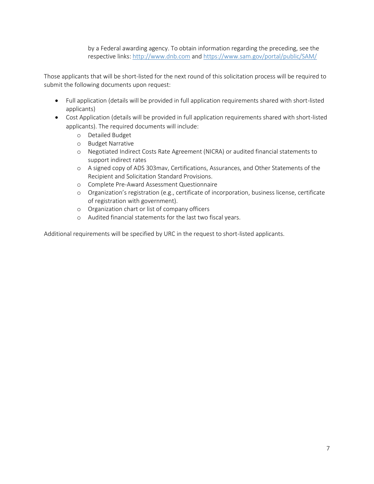by a Federal awarding agency. To obtain information regarding the preceding, see the respective links: [http://www.dnb.com](http://www.dnb.com/) and<https://www.sam.gov/portal/public/SAM/>

Those applicants that will be short-listed for the next round of this solicitation process will be required to submit the following documents upon request:

- Full application (details will be provided in full application requirements shared with short-listed applicants)
- Cost Application (details will be provided in full application requirements shared with short-listed applicants). The required documents will include:
	- o Detailed Budget
	- o Budget Narrative
	- o Negotiated Indirect Costs Rate Agreement (NICRA) or audited financial statements to support indirect rates
	- o A signed copy of ADS 303mav, Certifications, Assurances, and Other Statements of the Recipient and Solicitation Standard Provisions.
	- o Complete Pre-Award Assessment Questionnaire
	- o Organization's registration (e.g., certificate of incorporation, business license, certificate of registration with government).
	- o Organization chart or list of company officers
	- o Audited financial statements for the last two fiscal years.

Additional requirements will be specified by URC in the request to short-listed applicants.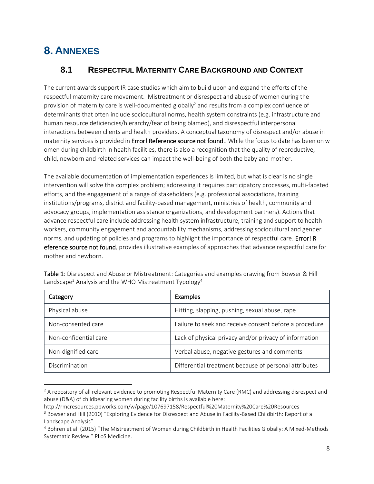# <span id="page-9-0"></span>**8. ANNEXES**

# <span id="page-9-1"></span>**8.1 RESPECTFUL MATERNITY CARE BACKGROUND AND CONTEXT**

The current awards support IR case studies which aim to build upon and expand the efforts of the respectful maternity care movement. Mistreatment or disrespect and abuse of women during the provision of maternity care is well-documented globally<sup>2</sup> and results from a complex confluence of determinants that often include sociocultural norms, health system constraints (e.g. infrastructure and human resource deficiencies/hierarchy/fear of being blamed), and disrespectful interpersonal interactions between clients and health providers. A conceptual taxonomy of disrespect and/or abuse in maternity services is provided in Error! Reference source not found.. While the focus to date has been on w omen during childbirth in health facilities, there is also a recognition that the quality of reproductive, child, newborn and related services can impact the well-being of both the baby and mother.

The available documentation of implementation experiences is limited, but what is clear is no single intervention will solve this complex problem; addressing it requires participatory processes, multi-faceted efforts, and the engagement of a range of stakeholders (e.g. professional associations, training institutions/programs, district and facility-based management, ministries of health, community and advocacy groups, implementation assistance organizations, and development partners). Actions that advance respectful care include addressing health system infrastructure, training and support to health workers, community engagement and accountability mechanisms, addressing sociocultural and gender norms, and updating of policies and programs to highlight the importance of respectful care. Error! R eference source not found. provides illustrative examples of approaches that advance respectful care for mother and newborn.

| Category              | <b>Examples</b>                                        |
|-----------------------|--------------------------------------------------------|
| Physical abuse        | Hitting, slapping, pushing, sexual abuse, rape         |
| Non-consented care    | Failure to seek and receive consent before a procedure |
| Non-confidential care | Lack of physical privacy and/or privacy of information |
| Non-dignified care    | Verbal abuse, negative gestures and comments           |
| Discrimination        | Differential treatment because of personal attributes  |

Table 1: Disrespect and Abuse or Mistreatment: Categories and examples drawing from Bowser & Hill Landscape<sup>3</sup> Analysis and the WHO Mistreatment Typology<sup>4</sup>

<sup>&</sup>lt;sup>2</sup> A repository of all relevant evidence to promoting Respectful Maternity Care (RMC) and addressing disrespect and abuse (D&A) of childbearing women during facility births is available here:

http://rmcresources.pbworks.com/w/page/107697158/Respectful%20Maternity%20Care%20Resources

<sup>3</sup> Bowser and Hill (2010) "Exploring Evidence for Disrespect and Abuse in Facility-Based Childbirth: Report of a Landscape Analysis"

<sup>4</sup> Bohren et al. (2015) "The Mistreatment of Women during Childbirth in Health Facilities Globally: A Mixed-Methods Systematic Review." PLoS Medicine.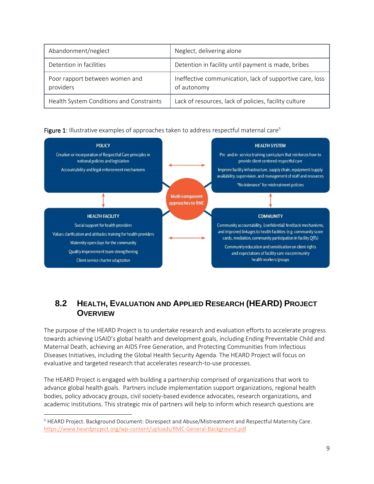| Abandonment/neglect                         | Neglect, delivering alone                                               |
|---------------------------------------------|-------------------------------------------------------------------------|
| Detention in facilities                     | Detention in facility until payment is made, bribes                     |
| Poor rapport between women and<br>providers | Ineffective communication, lack of supportive care, loss<br>of autonomy |
| Health System Conditions and Constraints    | Lack of resources, lack of policies, facility culture                   |





# <span id="page-10-0"></span>**8.2 HEALTH, EVALUATION AND APPLIED RESEARCH (HEARD) PROJECT OVERVIEW**

The purpose of the HEARD Project is to undertake research and evaluation efforts to accelerate progress towards achieving USAID's global health and development goals, including Ending Preventable Child and Maternal Death, achieving an AIDS Free Generation, and Protecting Communities from Infectious Diseases Initiatives, including the Global Health Security Agenda. The HEARD Project will focus on evaluative and targeted research that accelerates research-to-use processes.

The HEARD Project is engaged with building a partnership comprised of organizations that work to advance global health goals. Partners include implementation support organizations, regional health bodies, policy advocacy groups, civil society-based evidence advocates, research organizations, and academic institutions. This strategic mix of partners will help to inform which research questions are

<sup>5</sup> HEARD Project. Background Document: Disrespect and Abuse/Mistreatment and Respectful Maternity Care. <https://www.heardproject.org/wp-content/uploads/RMC-General-Background.pdf>